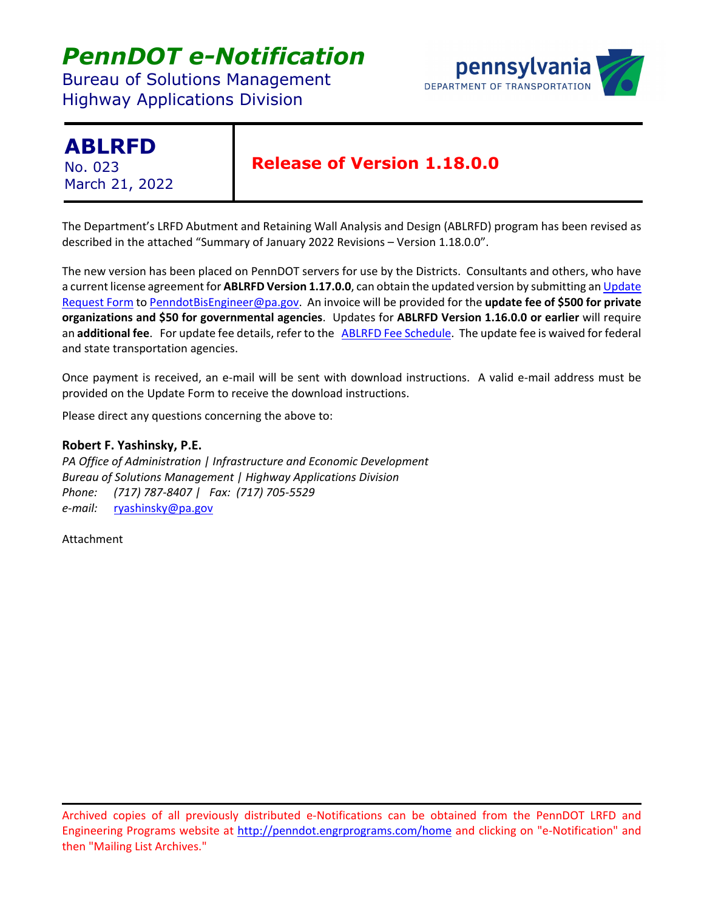# *PennDOT e-Notification*

Bureau of Solutions Management Highway Applications Division

### pennsylvania DEPARTMENT OF TRANSPORTATION

## **ABLRFD**

No. 023 March 21, 2022

### **Release of Version 1.18.0.0**

The Department's LRFD Abutment and Retaining Wall Analysis and Design (ABLRFD) program has been revised as described in the attached "Summary of January 2022 Revisions – Version 1.18.0.0".

The new version has been placed on PennDOT servers for use by the Districts. Consultants and others, who have a current license agreement for **ABLRFD Version 1.17.0.0**, can obtain the updated version by submitting an [Update](https://penndot.engrprograms.com/home/Ordering/UpdateForm.pdf)  [Request Form](https://penndot.engrprograms.com/home/Ordering/UpdateForm.pdf) to [PenndotBisEngineer@pa.gov.](mailto:PenndotBisEngineer@pa.gov) An invoice will be provided for the **update fee of \$500 for private organizations and \$50 for governmental agencies**. Updates for **ABLRFD Version 1.16.0.0 or earlier** will require an **additional fee**. For update fee details, refer to the [ABLRFD Fee Schedule.](http://penndot.engrprograms.com/home/Ordering/ABLRFD.htm) The update fee is waived for federal and state transportation agencies.

Once payment is received, an e-mail will be sent with download instructions. A valid e-mail address must be provided on the Update Form to receive the download instructions.

Please direct any questions concerning the above to:

#### **Robert F. Yashinsky, P.E.**

*PA Office of Administration | Infrastructure and Economic Development Bureau of Solutions Management | Highway Applications Division Phone: (717) 787-8407 | Fax: (717) 705-5529 e-mail:* [ryashinsky@pa.gov](mailto:ryashinsky@pa.gov)

Attachment

Archived copies of all previously distributed e-Notifications can be obtained from the PennDOT LRFD and Engineering Programs website at<http://penndot.engrprograms.com/home> and clicking on "e-Notification" and then "Mailing List Archives."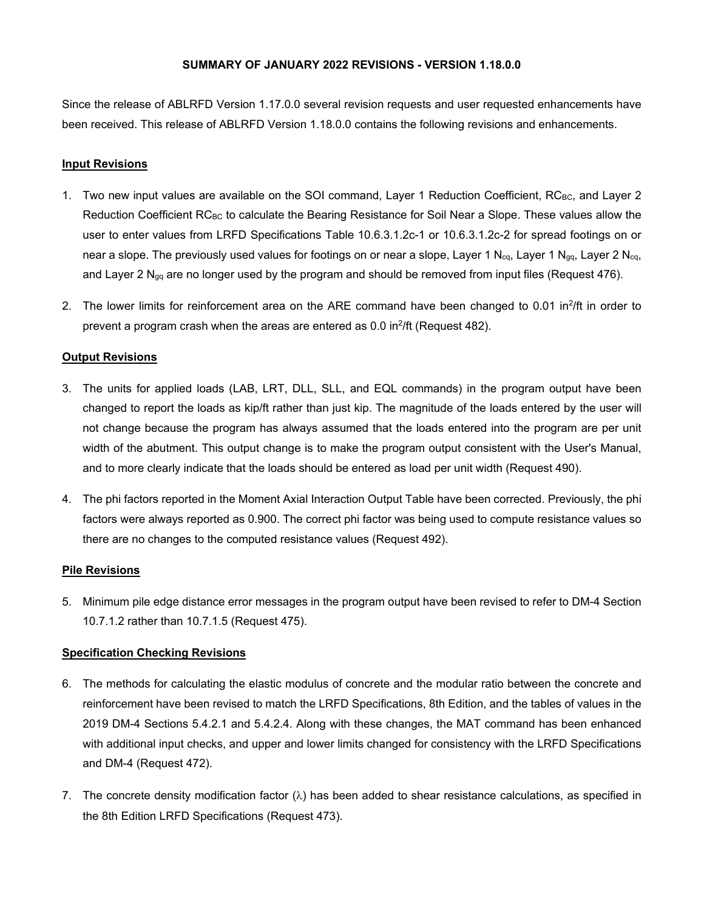#### **SUMMARY OF JANUARY 2022 REVISIONS - VERSION 1.18.0.0**

Since the release of ABLRFD Version 1.17.0.0 several revision requests and user requested enhancements have been received. This release of ABLRFD Version 1.18.0.0 contains the following revisions and enhancements.

#### **Input Revisions**

- 1. Two new input values are available on the SOI command, Layer 1 Reduction Coefficient, RC<sub>BC</sub>, and Layer 2 Reduction Coefficient RCBc to calculate the Bearing Resistance for Soil Near a Slope. These values allow the user to enter values from LRFD Specifications Table 10.6.3.1.2c-1 or 10.6.3.1.2c-2 for spread footings on or near a slope. The previously used values for footings on or near a slope, Layer 1 N<sub>cq</sub>, Layer 1 N<sub>gq</sub>, Layer 2 N<sub>cq</sub>, and Layer 2 N<sub>gq</sub> are no longer used by the program and should be removed from input files (Request 476).
- 2. The lower limits for reinforcement area on the ARE command have been changed to 0.01 in<sup>2</sup>/ft in order to prevent a program crash when the areas are entered as  $0.0$  in<sup>2</sup>/ft (Request 482).

#### **Output Revisions**

- 3. The units for applied loads (LAB, LRT, DLL, SLL, and EQL commands) in the program output have been changed to report the loads as kip/ft rather than just kip. The magnitude of the loads entered by the user will not change because the program has always assumed that the loads entered into the program are per unit width of the abutment. This output change is to make the program output consistent with the User's Manual, and to more clearly indicate that the loads should be entered as load per unit width (Request 490).
- 4. The phi factors reported in the Moment Axial Interaction Output Table have been corrected. Previously, the phi factors were always reported as 0.900. The correct phi factor was being used to compute resistance values so there are no changes to the computed resistance values (Request 492).

#### **Pile Revisions**

5. Minimum pile edge distance error messages in the program output have been revised to refer to DM-4 Section 10.7.1.2 rather than 10.7.1.5 (Request 475).

#### **Specification Checking Revisions**

- 6. The methods for calculating the elastic modulus of concrete and the modular ratio between the concrete and reinforcement have been revised to match the LRFD Specifications, 8th Edition, and the tables of values in the 2019 DM-4 Sections 5.4.2.1 and 5.4.2.4. Along with these changes, the MAT command has been enhanced with additional input checks, and upper and lower limits changed for consistency with the LRFD Specifications and DM-4 (Request 472).
- 7. The concrete density modification factor  $(\lambda)$  has been added to shear resistance calculations, as specified in the 8th Edition LRFD Specifications (Request 473).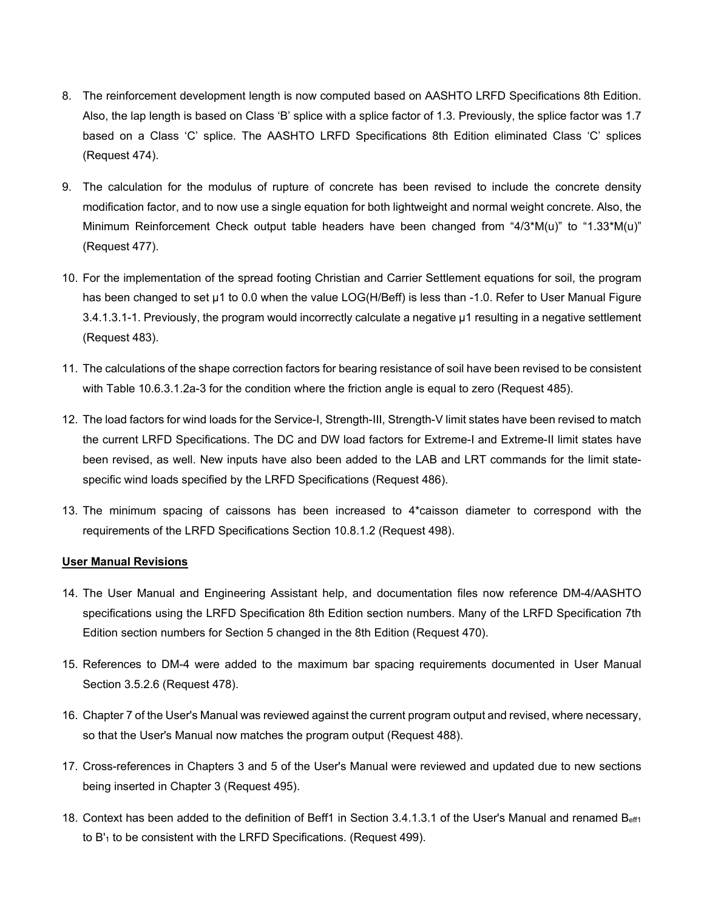- 8. The reinforcement development length is now computed based on AASHTO LRFD Specifications 8th Edition. Also, the lap length is based on Class 'B' splice with a splice factor of 1.3. Previously, the splice factor was 1.7 based on a Class 'C' splice. The AASHTO LRFD Specifications 8th Edition eliminated Class 'C' splices (Request 474).
- 9. The calculation for the modulus of rupture of concrete has been revised to include the concrete density modification factor, and to now use a single equation for both lightweight and normal weight concrete. Also, the Minimum Reinforcement Check output table headers have been changed from "4/3\*M(u)" to "1.33\*M(u)" (Request 477).
- 10. For the implementation of the spread footing Christian and Carrier Settlement equations for soil, the program has been changed to set µ1 to 0.0 when the value LOG(H/Beff) is less than -1.0. Refer to User Manual Figure 3.4.1.3.1-1. Previously, the program would incorrectly calculate a negative µ1 resulting in a negative settlement (Request 483).
- 11. The calculations of the shape correction factors for bearing resistance of soil have been revised to be consistent with Table 10.6.3.1.2a-3 for the condition where the friction angle is equal to zero (Request 485).
- 12. The load factors for wind loads for the Service-I, Strength-III, Strength-V limit states have been revised to match the current LRFD Specifications. The DC and DW load factors for Extreme-I and Extreme-II limit states have been revised, as well. New inputs have also been added to the LAB and LRT commands for the limit statespecific wind loads specified by the LRFD Specifications (Request 486).
- 13. The minimum spacing of caissons has been increased to 4\*caisson diameter to correspond with the requirements of the LRFD Specifications Section 10.8.1.2 (Request 498).

#### **User Manual Revisions**

- 14. The User Manual and Engineering Assistant help, and documentation files now reference DM-4/AASHTO specifications using the LRFD Specification 8th Edition section numbers. Many of the LRFD Specification 7th Edition section numbers for Section 5 changed in the 8th Edition (Request 470).
- 15. References to DM-4 were added to the maximum bar spacing requirements documented in User Manual Section 3.5.2.6 (Request 478).
- 16. Chapter 7 of the User's Manual was reviewed against the current program output and revised, where necessary, so that the User's Manual now matches the program output (Request 488).
- 17. Cross-references in Chapters 3 and 5 of the User's Manual were reviewed and updated due to new sections being inserted in Chapter 3 (Request 495).
- 18. Context has been added to the definition of Beff1 in Section 3.4.1.3.1 of the User's Manual and renamed B<sub>eff1</sub> to B'1 to be consistent with the LRFD Specifications. (Request 499).